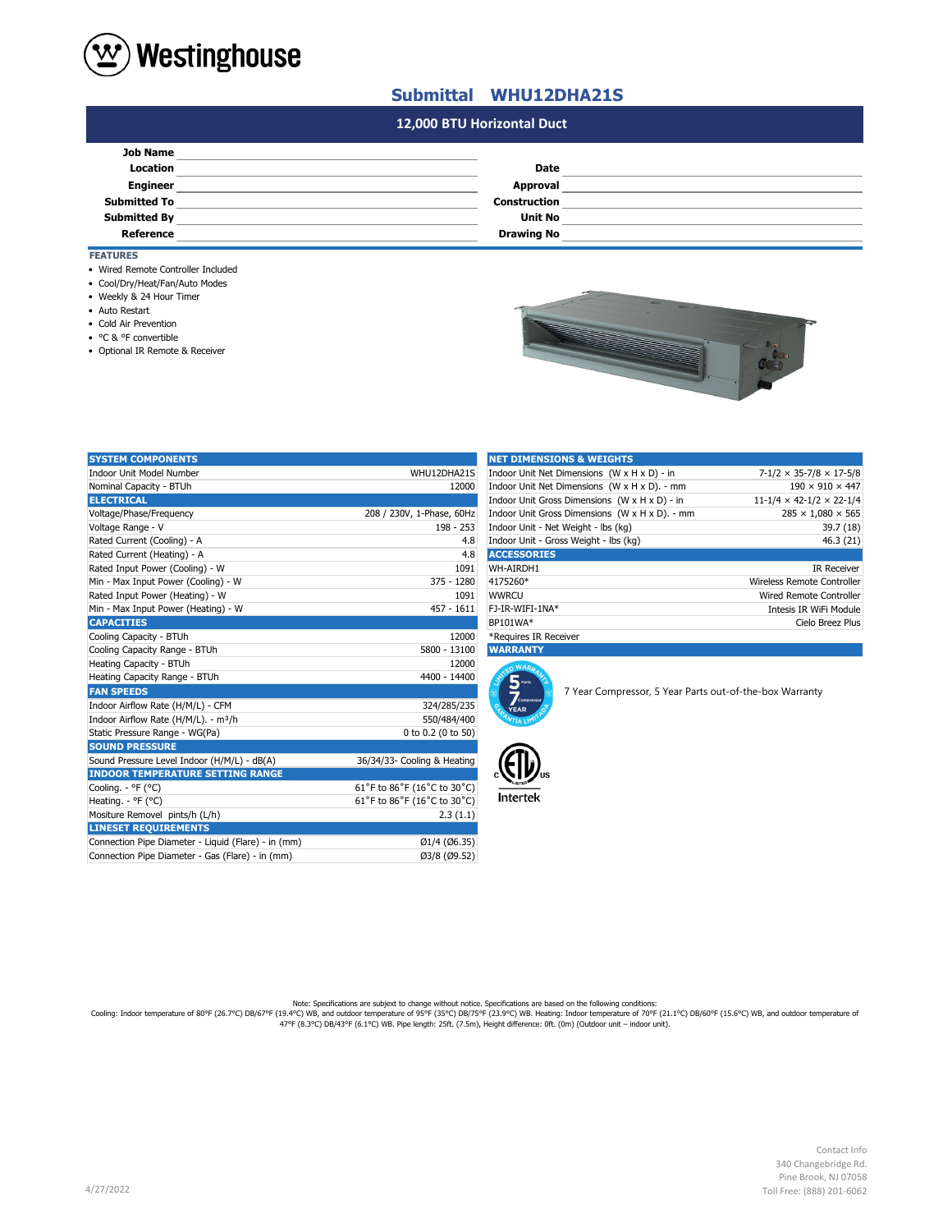

## **Submittal WHU12DHA21S**

## **#N/A 12,000 BTU Horizontal Duct**

| <b>Job Name</b>     |                     |  |
|---------------------|---------------------|--|
| Location            | Date                |  |
| <b>Engineer</b>     | Approval            |  |
| <b>Submitted To</b> | <b>Construction</b> |  |
| <b>Submitted By</b> | <b>Unit No</b>      |  |
| Reference           | <b>Drawing No</b>   |  |

## **FEATURES**

- Wired Remote Controller Included
- Cool/Dry/Heat/Fan/Auto Modes
- Weekly & 24 Hour Timer
- Auto Restart
- Cold Air Prevention
- °C & °F convertible
- Optional IR Remote & Receiver

| --<br>۔<br>$\alpha$ |  |
|---------------------|--|
|                     |  |

| <b>SYSTEM COMPONENTS</b>                            |                             | <b>NET DIMENSIONS &amp; WEIGHTS</b>   |                                                |                                                         |
|-----------------------------------------------------|-----------------------------|---------------------------------------|------------------------------------------------|---------------------------------------------------------|
| <b>Indoor Unit Model Number</b>                     | WHU12DHA21S                 |                                       | Indoor Unit Net Dimensions (W x H x D) - in    | $7-1/2 \times 35-7/8 \times 17-5/8$                     |
| Nominal Capacity - BTUh                             | 12000                       |                                       | Indoor Unit Net Dimensions (W x H x D). - mm   | $190 \times 910 \times 447$                             |
| <b>ELECTRICAL</b>                                   |                             |                                       | Indoor Unit Gross Dimensions (W x H x D) - in  | $11 - 1/4 \times 42 - 1/2 \times 22 - 1/4$              |
| Voltage/Phase/Frequency                             | 208 / 230V, 1-Phase, 60Hz   |                                       | Indoor Unit Gross Dimensions (W x H x D). - mm | $285 \times 1,080 \times 565$                           |
| Voltage Range - V                                   | 198 - 253                   | Indoor Unit - Net Weight - lbs (kg)   |                                                | 39.7 (18)                                               |
| Rated Current (Cooling) - A                         | 4.8                         | Indoor Unit - Gross Weight - lbs (kg) |                                                | 46.3 (21)                                               |
| Rated Current (Heating) - A                         | 4.8                         | <b>ACCESSORIES</b>                    |                                                |                                                         |
| Rated Input Power (Cooling) - W                     | 1091                        | WH-AIRDH1                             |                                                | <b>IR Receiver</b>                                      |
| Min - Max Input Power (Cooling) - W                 | 375 - 1280                  | 4175260*                              |                                                | Wireless Remote Controller                              |
| Rated Input Power (Heating) - W                     | 1091                        | <b>WWRCU</b>                          |                                                | Wired Remote Controller                                 |
| Min - Max Input Power (Heating) - W                 | $457 - 1611$                | FJ-IR-WIFI-1NA*                       |                                                | Intesis IR WiFi Module                                  |
| <b>CAPACITIES</b>                                   |                             | BP101WA*                              |                                                | Cielo Breez Plus                                        |
| Cooling Capacity - BTUh                             | 12000                       | *Requires IR Receiver                 |                                                |                                                         |
| Cooling Capacity Range - BTUh                       | 5800 - 13100                | <b>WARRANTY</b>                       |                                                |                                                         |
| Heating Capacity - BTUh                             | 12000                       | n WARA                                |                                                |                                                         |
| Heating Capacity Range - BTUh                       | 4400 - 14400                | 5 <sub>parts</sub>                    |                                                |                                                         |
| <b>FAN SPEEDS</b>                                   |                             |                                       |                                                | 7 Year Compressor, 5 Year Parts out-of-the-box Warranty |
| Indoor Airflow Rate (H/M/L) - CFM                   | 324/285/235                 | Compresso<br><b>YEAR</b>              |                                                |                                                         |
| Indoor Airflow Rate (H/M/L). - m <sup>3</sup> /h    | 550/484/400                 |                                       |                                                |                                                         |
| Static Pressure Range - WG(Pa)                      | 0 to 0.2 (0 to 50)          |                                       |                                                |                                                         |
| <b>SOUND PRESSURE</b>                               |                             |                                       |                                                |                                                         |
| Sound Pressure Level Indoor (H/M/L) - dB(A)         | 36/34/33- Cooling & Heating |                                       |                                                |                                                         |
| <b>INDOOR TEMPERATURE SETTING RANGE</b>             |                             |                                       |                                                |                                                         |
| Cooling. - °F (°C)                                  | 61°F to 86°F (16°C to 30°C) |                                       |                                                |                                                         |
| Heating. - °F (°C)                                  | 61°F to 86°F (16°C to 30°C) | Intertek                              |                                                |                                                         |
| Mositure Removel pints/h (L/h)                      | 2.3(1.1)                    |                                       |                                                |                                                         |
| <b>LINESET REQUIREMENTS</b>                         |                             |                                       |                                                |                                                         |
| Connection Pipe Diameter - Liquid (Flare) - in (mm) | Ø1/4 (Ø6.35)                |                                       |                                                |                                                         |
| Connection Pipe Diameter - Gas (Flare) - in (mm)    | Ø3/8 (Ø9.52)                |                                       |                                                |                                                         |

| <b>NET DIMENSIONS &amp; WEIGHTS</b>            |                                      |  |  |
|------------------------------------------------|--------------------------------------|--|--|
| Indoor Unit Net Dimensions (W x H x D) - in    | $7-1/2 \times 35-7/8 \times 17-5/8$  |  |  |
| Indoor Unit Net Dimensions (W x H x D). - mm   | $190 \times 910 \times 447$          |  |  |
| Indoor Unit Gross Dimensions (W x H x D) - in  | $11-1/4 \times 42-1/2 \times 22-1/4$ |  |  |
| Indoor Unit Gross Dimensions (W x H x D). - mm | $285 \times 1.080 \times 565$        |  |  |
| Indoor Unit - Net Weight - Ibs (kg)            | 39.7(18)                             |  |  |
| Indoor Unit - Gross Weight - Ibs (kg)          | 46.3(21)                             |  |  |
| <b>ACCESSORIES</b>                             |                                      |  |  |
| WH-AIRDH1                                      | <b>IR Receiver</b>                   |  |  |
| 4175260*                                       | Wireless Remote Controller           |  |  |
| <b>WWRCU</b>                                   | Wired Remote Controller              |  |  |
| FJ-IR-WIFI-1NA*                                | Intesis IR WiFi Module               |  |  |
| BP101WA*                                       | Cielo Breez Plus                     |  |  |
| *Requires IR Receiver                          |                                      |  |  |





Note: Specifications are subjext to change without notice. Specifications are based on the following conditions:<br>Cooling: Indoor temperature of 80°F (26.7°C) DB/67°F (19.4°C) WB, and outdoor temperature of 90°F (21.1°C) DB